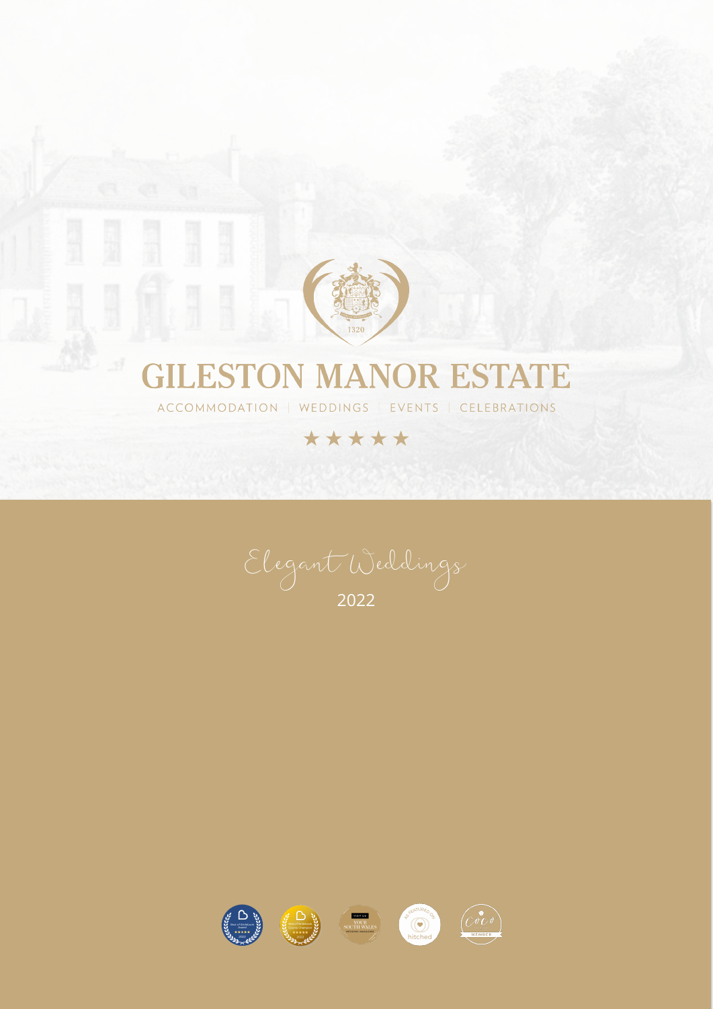

## **GILESTON MANOR ESTATE**

ACCOMMODATION | WEDDINGS | EVENTS | CELEBRATIONS

## \*\*\*\*\*

í